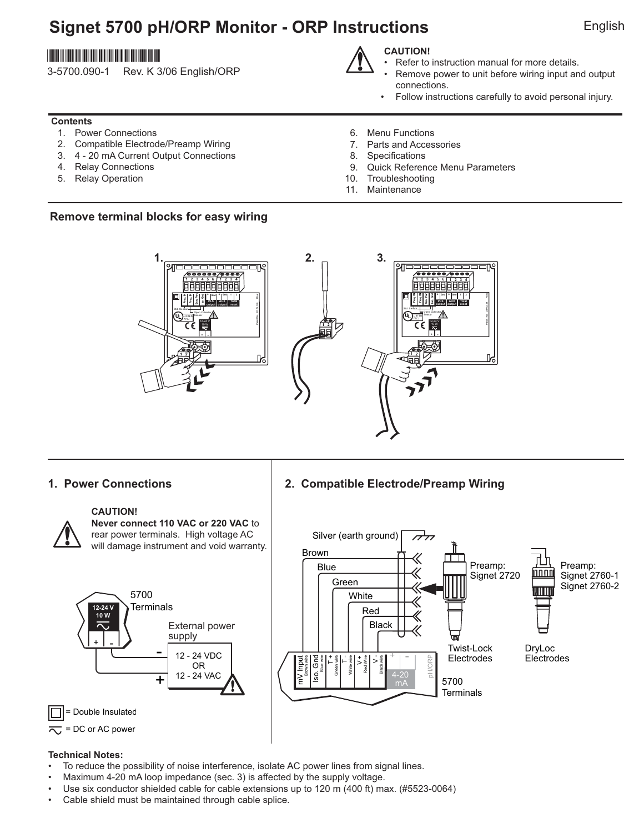# **Signet 5700 pH/ORP Monitor - ORP Instructions** English

## \*3-5700.090-1\*

3-5700.090-1 Rev. K 3/06 English/ORP

## **CAUTION!**

- Refer to instruction manual for more details.
- Remove power to unit before wiring input and output connections.
- Follow instructions carefully to avoid personal injury.

### **Contents**

- 1. Power Connections
- 2. Compatible Electrode/Preamp Wiring
- 3. 4 20 mA Current Output Connections
- 4. Relay Connections
- 5. Relay Operation
- 6. Menu Functions
- 7. Parts and Accessories
- 8. Specifications
- 9. Quick Reference Menu Parameters
- 10. Troubleshooting
- 11. Maintenance

### **Remove terminal blocks for easy wiring**



### **1. Power Connections 2. Compatible Electrode/Preamp Wiring**



### **CAUTION!**

**Never connect 110 VAC or 220 VAC** to rear power terminals. High voltage AC will damage instrument and void warranty.





### **Technical Notes:**

- To reduce the possibility of noise interference, isolate AC power lines from signal lines.
- Maximum 4-20 mA loop impedance (sec. 3) is affected by the supply voltage.
- Use six conductor shielded cable for cable extensions up to 120 m (400 ft) max. (#5523-0064)
- Cable shield must be maintained through cable splice.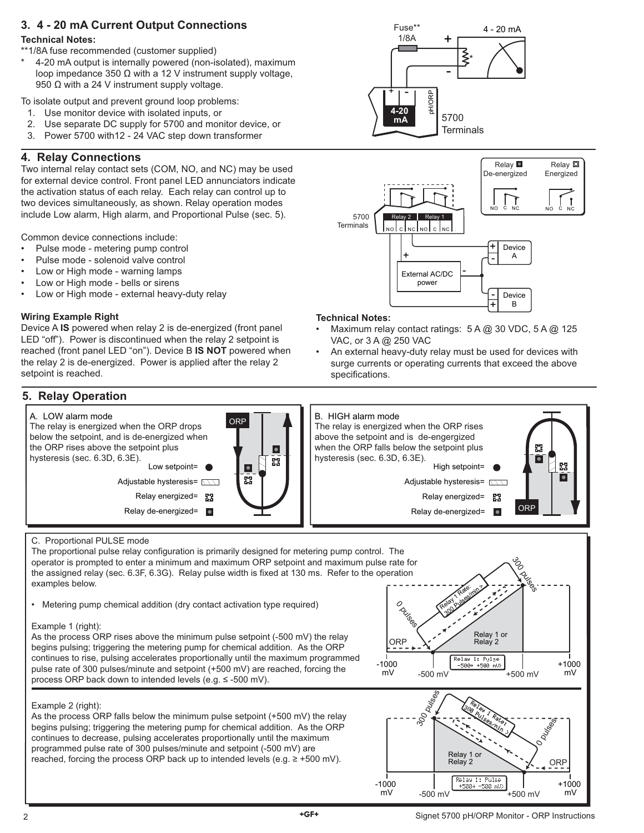## **3. 4 - 20 mA Current Output Connections**

### **Technical Notes:**

\*\*1/8A fuse recommended (customer supplied)

4-20 mA output is internally powered (non-isolated), maximum loop impedance 350  $Ω$  with a 12 V instrument supply voltage, 950  $\Omega$  with a 24 V instrument supply voltage.

To isolate output and prevent ground loop problems:

- 1. Use monitor device with isolated inputs, or
- 2. Use separate DC supply for 5700 and monitor device, or
- 3. Power 5700 with12 24 VAC step down transformer

## **4. Relay Connections**

Two internal relay contact sets (COM, NO, and NC) may be used for external device control. Front panel LED annunciators indicate the activation status of each relay. Each relay can control up to two devices simultaneously, as shown. Relay operation modes include Low alarm, High alarm, and Proportional Pulse (sec. 5).

Common device connections include:

- Pulse mode metering pump control
- Pulse mode solenoid valve control
- Low or High mode warning lamps
- Low or High mode bells or sirens
- Low or High mode external heavy-duty relay

### **Wiring Example Right**

Device A **IS** powered when relay 2 is de-energized (front panel LED "off"). Power is discontinued when the relay 2 setpoint is reached (front panel LED "on"). Device B **IS NOT** powered when the relay 2 is de-energized. Power is applied after the relay 2 setpoint is reached.

## **5. Relay Operation**





#### **Technical Notes:**

- Maximum relay contact ratings: 5 A @ 30 VDC, 5 A @ 125 VAC, or 3 A @ 250 VAC
- An external heavy-duty relay must be used for devices with surge currents or operating currents that exceed the above specifications.



#### C. Proportional PULSE mode

The proportional pulse relay configuration is primarily designed for metering pump control. The operator is prompted to enter a minimum and maximum ORP setpoint and maximum pulse rate for the assigned relay (sec. 6.3F, 6.3G). Relay pulse width is fixed at 130 ms. Refer to the operation examples below.

• Metering pump chemical addition (dry contact activation type required)

#### Example 1 (right):

As the process ORP rises above the minimum pulse setpoint (-500 mV) the relay begins pulsing; triggering the metering pump for chemical addition. As the ORP continues to rise, pulsing accelerates proportionally until the maximum programmed pulse rate of 300 pulses/minute and setpoint (+500 mV) are reached, forcing the process ORP back down to intended levels (e.g. ≤ -500 mV).

#### Example 2 (right):

As the process ORP falls below the minimum pulse setpoint (+500 mV) the relay begins pulsing; triggering the metering pump for chemical addition. As the ORP continues to decrease, pulsing accelerates proportionally until the maximum programmed pulse rate of 300 pulses/minute and setpoint (-500 mV) are reached, forcing the process ORP back up to intended levels (e.g.  $\geq$  +500 mV).



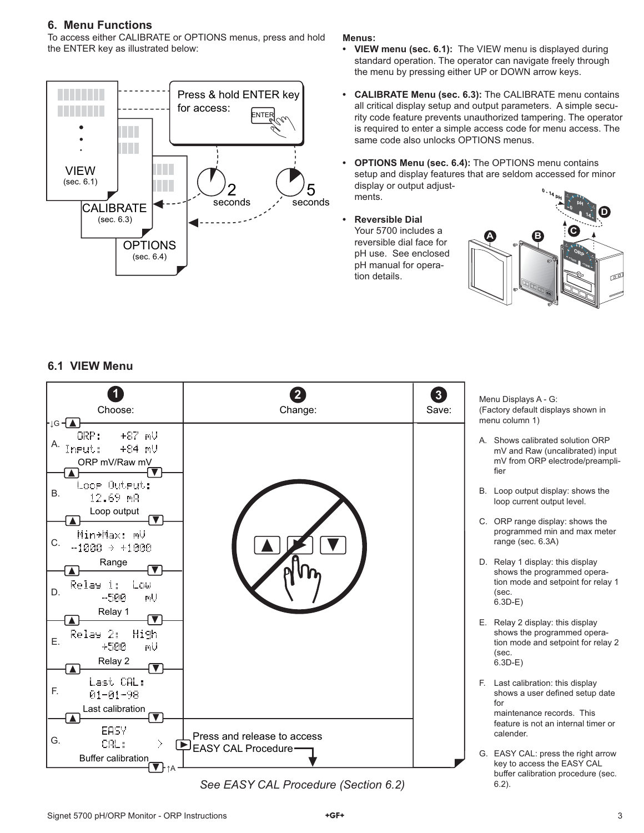### **6. Menu Functions**

To access either CALIBRATE or OPTIONS menus, press and hold the ENTER key as illustrated below:



#### **Menus:**

- **VIEW menu (sec. 6.1):** The VIEW menu is displayed during standard operation. The operator can navigate freely through the menu by pressing either UP or DOWN arrow keys.
- **CALIBRATE Menu (sec. 6.3):** The CALIBRATE menu contains all critical display setup and output parameters. A simple security code feature prevents unauthorized tampering. The operator is required to enter a simple access code for menu access. The same code also unlocks OPTIONS menus.
- **OPTIONS Menu (sec. 6.4):** The OPTIONS menu contains setup and display features that are seldom accessed for minor display or output adjustments.
- **Reversible Dial** Your 5700 includes a reversible dial face for pH use. See enclosed pH manual for operation details.



mV and Raw (uncalibrated) input mV from ORP electrode/preampli-

programmed min and max meter

shows the programmed operation mode and setpoint for relay 1

shows the programmed operation mode and setpoint for relay 2

shows a user defined setup date

 maintenance records. This feature is not an internal timer or

key to access the EASY CAL buffer calibration procedure (sec.

loop current output level.

range (sec. 6.3A)

fier

(sec. 6.3D-E)

(sec. 6.3D-E)

for

calender.

## **6.1 VIEW Menu**



See EASY CAL Procedure (Section 6.2) 6.2).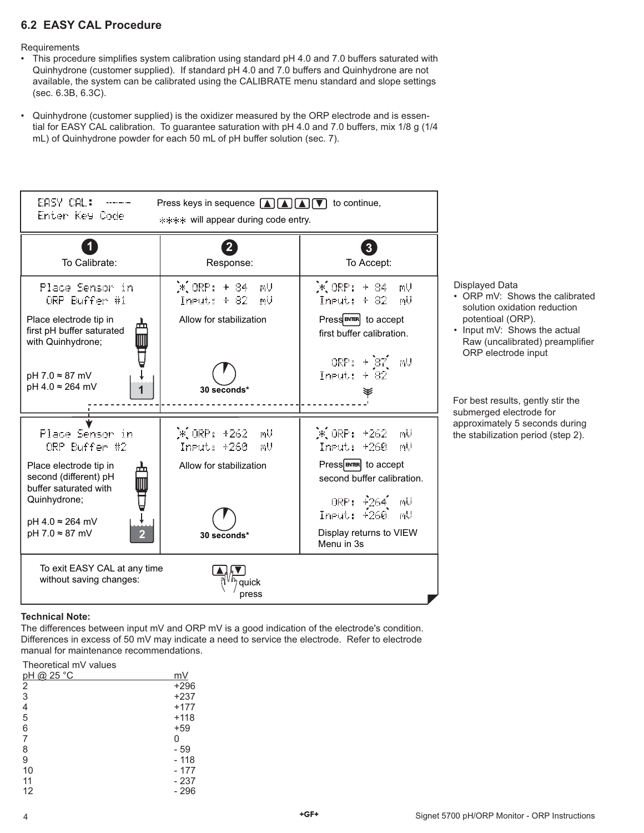## **6.2 EASY CAL Procedure**

**Requirements** 

- This procedure simplifies system calibration using standard pH 4.0 and 7.0 buffers saturated with Quinhydrone (customer supplied). If standard pH 4.0 and 7.0 buffers and Quinhydrone are not available, the system can be calibrated using the CALIBRATE menu standard and slope settings (sec. 6.3B, 6.3C).
- Quinhydrone (customer supplied) is the oxidizer measured by the ORP electrode and is essential for EASY CAL calibration. To guarantee saturation with pH 4.0 and 7.0 buffers, mix 1/8 g (1/4 mL) of Quinhydrone powder for each 50 mL of pH buffer solution (sec. 7).



#### **Technical Note:**

The differences between input mV and ORP mV is a good indication of the electrode's condition. Differences in excess of 50 mV may indicate a need to service the electrode. Refer to electrode manual for maintenance recommendations.

### Theoretical mV values

| <u>pH @ 25 °C</u> | mV     |
|-------------------|--------|
| $\frac{2}{3}$     | $+296$ |
|                   | $+237$ |
| $\frac{4}{5}$     | $+177$ |
|                   | $+118$ |
| 6                 | $+59$  |
| $\overline{7}$    | 0      |
| 8                 | - 59   |
| 9                 | - 118  |
| 10                | - 177  |
| 11                | - 237  |
| 12                | - 296  |
|                   |        |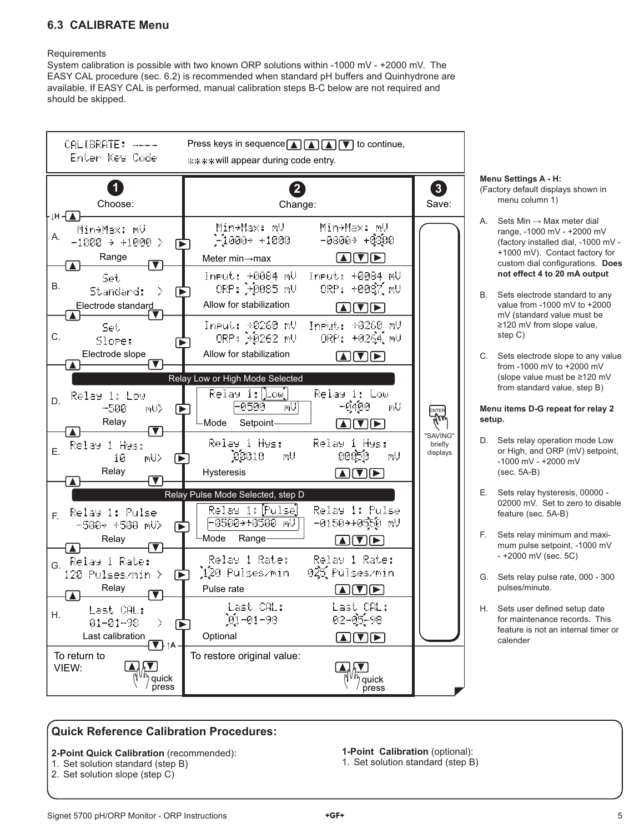## **6.3 CALIBRATE Menu**

#### **Requirements**

System calibration is possible with two known ORP solutions within -1000 mV - +2000 mV. The EASY CAL procedure (sec. 6.2) is recommended when standard pH buffers and Quinhydrone are available. If EASY CAL is performed, manual calibration steps B-C below are not required and should be skipped.



## **Menu Settings A - H:**

(Factory default displays shown in menu column 1)

- A. Sets  $Min \rightarrow Max$  meter dial range, -1000 mV - +2000 mV (factory installed dial, -1000 mV - +1000 mV). Contact factory for custom dial configurations. Does **not effect 4 to 20 mA output**
- B. Sets electrode standard to any value from -1000 mV to +2000 mV (standard value must be ≥120 mV from slope value, step C)
- C. Sets electrode slope to any value from -1000 mV to +2000 mV (slope value must be ≥120 mV from standard value, step B)

#### **Menu items D-G repeat for relay 2 setup.**

- D. Sets relay operation mode Low or High, and ORP (mV) setpoint, -1000 mV - +2000 mV (sec. 5A-B)
- E. Sets relay hysteresis, 00000 02000 mV. Set to zero to disable feature (sec. 5A-B)
- F. Sets relay minimum and maximum pulse setpoint, -1000 mV - +2000 mV (sec. 5C)
- G. Sets relay pulse rate, 000 300 pulses/minute.
- H. Sets user defined setup date for maintenance records. This feature is not an internal timer or calender

## **Quick Reference Calibration Procedures:**

## **2-Point Quick Calibration** (recommended):

- 1. Set solution standard (step B)
- 2. Set solution slope (step C)

**1-Point Calibration** (optional): 1. Set solution standard (step B)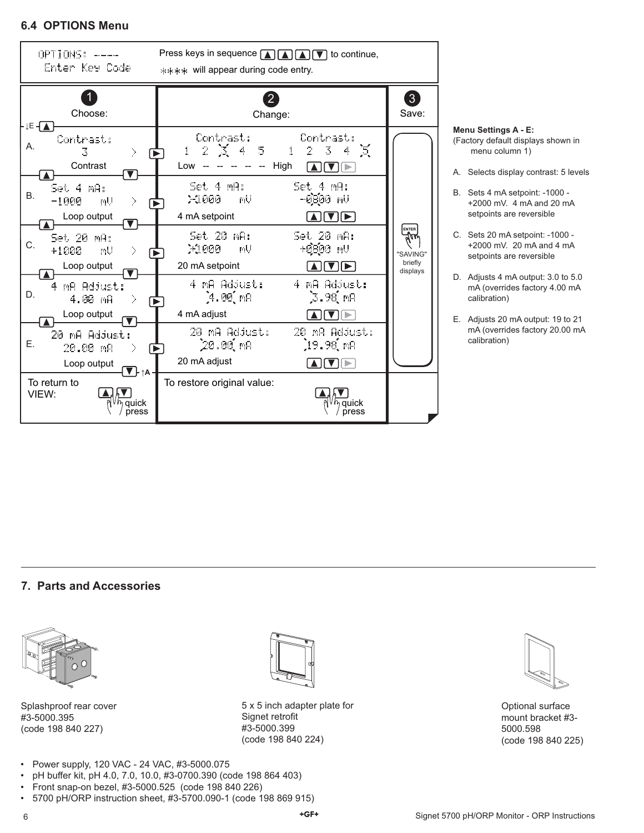### **6.4 OPTIONS Menu**



### **Menu Settings A - E:**

(Factory default displays shown in menu column 1)

- A. Selects display contrast: 5 levels
- B. Sets 4 mA setpoint: -1000 +2000 mV. 4 mA and 20 mA setpoints are reversible
- C. Sets 20 mA setpoint: -1000 +2000 mV. 20 mA and 4 mA setpoints are reversible
- D. Adjusts 4 mA output: 3.0 to 5.0 mA (overrides factory 4.00 mA calibration)
- E. Adjusts 20 mA output: 19 to 21 mA (overrides factory 20.00 mA calibration)

### **7. Parts and Accessories**



Splashproof rear cover #3-5000.395 (code 198 840 227)



5 x 5 inch adapter plate for Signet retrofit #3-5000.399 (code 198 840 224)



Optional surface mount bracket #3- 5000.598 (code 198 840 225)

- Power supply, 120 VAC 24 VAC, #3-5000.075
- pH buffer kit, pH 4.0, 7.0, 10.0, #3-0700.390 (code 198 864 403)
- Front snap-on bezel, #3-5000.525 (code 198 840 226)
- 5700 pH/ORP instruction sheet, #3-5700.090-1 (code 198 869 915)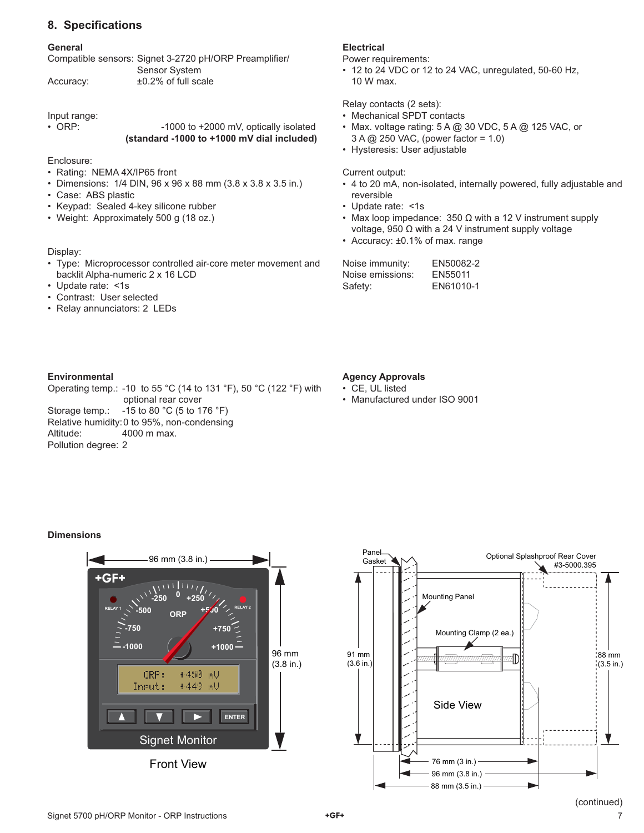## **8. Specifi cations**

#### **General**

| Compatible sensors: Signet 3-2720 pH/ORP Preamplifier/ |               |  |
|--------------------------------------------------------|---------------|--|
|                                                        | Sensor System |  |
|                                                        |               |  |

Accuracy: ±0.2% of full scale

Input range:

• ORP: -1000 to +2000 mV, optically isolated **(standard -1000 to +1000 mV dial included)**

Enclosure:

- Rating: NEMA 4X/IP65 front
- Dimensions: 1/4 DIN, 96 x 96 x 88 mm (3.8 x 3.8 x 3.5 in.)
- Case: ABS plastic
- Keypad: Sealed 4-key silicone rubber
- Weight: Approximately 500 g (18 oz.)

#### Display:

- Type: Microprocessor controlled air-core meter movement and backlit Alpha-numeric 2 x 16 LCD
- Update rate: <1s
- Contrast: User selected
- Relay annunciators: 2 LEDs

### **Electrical**

Power requirements:

• 12 to 24 VDC or 12 to 24 VAC, unregulated, 50-60 Hz, 10 W max.

Relay contacts (2 sets):

- Mechanical SPDT contacts
- Max. voltage rating: 5 A @ 30 VDC, 5 A @ 125 VAC, or 3 A @ 250 VAC, (power factor = 1.0)
- Hysteresis: User adjustable

Current output:

- 4 to 20 mA, non-isolated, internally powered, fully adjustable and reversible
- Update rate: <1s
- Max loop impedance:  $350 \Omega$  with a 12 V instrument supply voltage, 950 Ω with a 24 V instrument supply voltage
- Accuracy: ±0.1% of max. range

| Noise immunity:  | EN50082-2 |
|------------------|-----------|
| Noise emissions: | EN55011   |
| Safety:          | EN61010-1 |

#### **Environmental**

Operating temp.: -10 to 55 °C (14 to 131 °F), 50 °C (122 °F) with optional rear cover Storage temp.: -15 to 80 °C (5 to 176 °F) Relative humidity: 0 to 95%, non-condensing Altitude: 4000 m max. Pollution degree: 2

#### **Agency Approvals**

- CE, UL listed
- Manufactured under ISO 9001

#### **Dimensions**



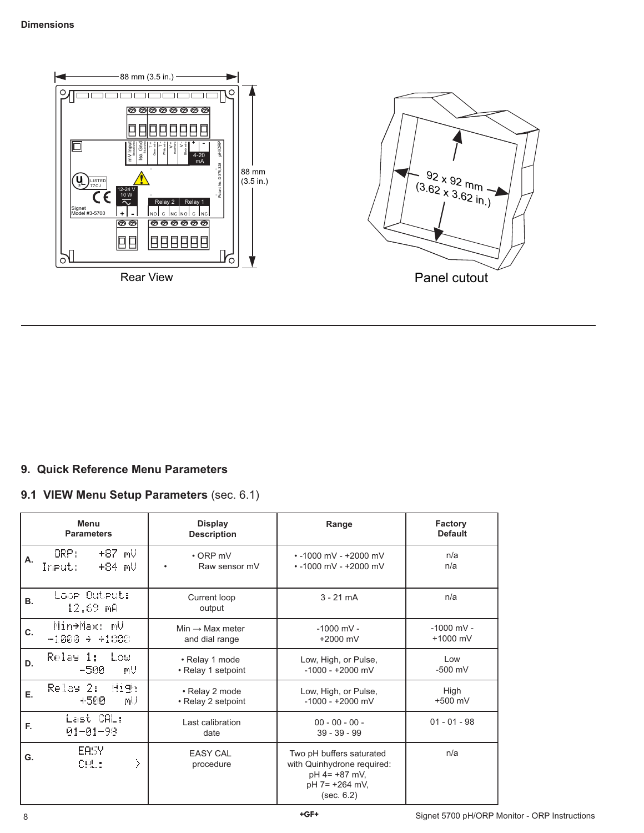

## **9. Quick Reference Menu Parameters**

## **9.1 VIEW Menu Setup Parameters** (sec. 6.1)

| Menu<br><b>Parameters</b> |                                          | <b>Display</b><br><b>Description</b>          | Range                                                                                                     | Factory<br><b>Default</b>  |
|---------------------------|------------------------------------------|-----------------------------------------------|-----------------------------------------------------------------------------------------------------------|----------------------------|
| Α.                        | +87 mV<br>ORP:<br>+84 mU<br>Ineut:       | $\cdot$ ORP mV<br>Raw sensor mV               | $\cdot$ -1000 mV - +2000 mV<br>$\cdot$ -1000 mV - +2000 mV                                                | n/a<br>n/a                 |
| <b>B.</b>                 | Loor Outrut:<br>12.69 mA                 | Current loop<br>output                        | $3 - 21$ mA                                                                                               | n/a                        |
| C.                        | Min→Max: mV<br>$-1000 \rightarrow +1000$ | $Min \rightarrow Max$ meter<br>and dial range | $-1000$ mV -<br>$+2000$ mV                                                                                | $-1000$ mV -<br>$+1000$ mV |
| D.                        | Relay 1:<br>l ou<br>-500<br>mU           | • Relay 1 mode<br>• Relay 1 setpoint          | Low, High, or Pulse,<br>$-1000 - +2000$ mV                                                                | Low<br>$-500$ mV           |
| Е.                        | <b>High</b><br>Relay 2:<br>мU<br>+500    | • Relay 2 mode<br>• Relay 2 setpoint          | Low, High, or Pulse,<br>$-1000 - +2000$ mV                                                                | High<br>$+500$ mV          |
| F.                        | Last CAL:<br>$01 - 01 - 98$              | Last calibration<br>date                      | $00 - 00 - 00 -$<br>$39 - 39 - 99$                                                                        | $01 - 01 - 98$             |
| G.                        | EASY<br>Σ<br>CAL:                        | <b>EASY CAL</b><br>procedure                  | Two pH buffers saturated<br>with Quinhydrone required:<br>$pH$ 4= +87 mV,<br>pH 7= +264 mV,<br>(sec. 6.2) | n/a                        |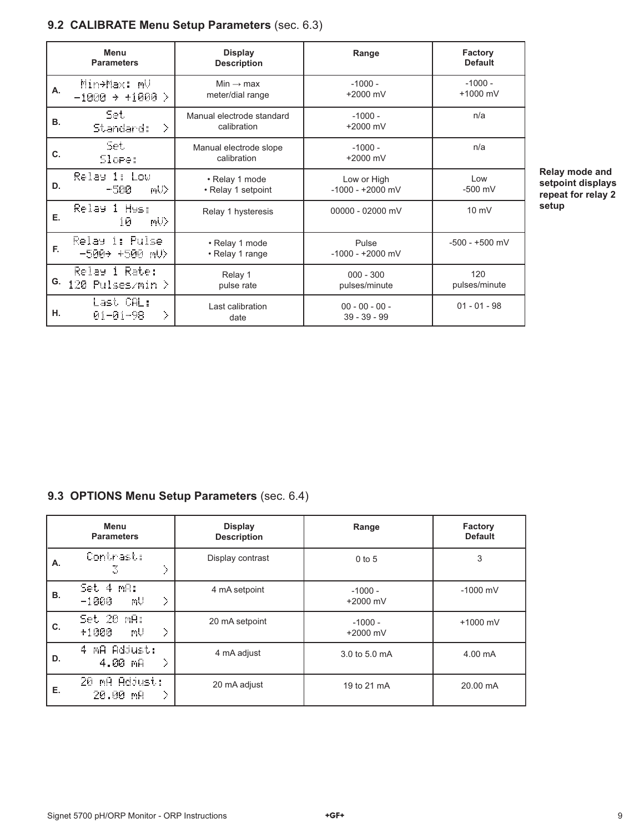## **9.2 CALIBRATE Menu Setup Parameters** (sec. 6.3)

|    | Menu<br><b>Parameters</b>               | <b>Display</b><br><b>Description</b>      | Range                              | Factory<br><b>Default</b> |
|----|-----------------------------------------|-------------------------------------------|------------------------------------|---------------------------|
| Α. | Min+Max: mV<br>$-1000 \div +1000$<br>D. | Min $\rightarrow$ max<br>meter/dial range | $-1000 -$<br>$+2000$ mV            | $-1000 -$<br>$+1000$ mV   |
| В. | Set.<br>Standard:<br>Σ                  | Manual electrode standard<br>calibration  | $-1000 -$<br>$+2000$ mV            | n/a                       |
| C. | Set.<br>Slore:                          | Manual electrode slope<br>calibration     | $-1000 -$<br>$+2000$ mV            | n/a                       |
| D. | Relay 1: Low<br>-500.<br>mU>            | • Relay 1 mode<br>• Relay 1 setpoint      | Low or High<br>$-1000 - +2000$ mV  | Low<br>$-500$ mV          |
| Е. | Relay 1 Hys:<br>mU><br>10               | Relay 1 hysteresis                        | 00000 - 02000 mV                   | $10 \text{ mV}$           |
| F. | Relay 1: Pulse<br>-500+ +500 mU>        | • Relay 1 mode<br>• Relay 1 range         | Pulse<br>$-1000 - +2000$ mV        | $-500 - +500$ mV          |
| G. | Relay 1 Rate:<br>120 Pulses/min >       | Relay 1<br>pulse rate                     | $000 - 300$<br>pulses/minute       | 120<br>pulses/minute      |
| н. | Last CAL:<br>><br>$01 - 01 - 98$        | Last calibration<br>date                  | $00 - 00 - 00 -$<br>$39 - 39 - 99$ | $01 - 01 - 98$            |

**Relay mode and setpoint displays repeat for relay 2 setup**

## **9.3 OPTIONS Menu Setup Parameters** (sec. 6.4)

|           | Menu<br><b>Parameters</b>         | <b>Display</b><br><b>Description</b> | Range                 | Factory<br><b>Default</b> |
|-----------|-----------------------------------|--------------------------------------|-----------------------|---------------------------|
| Α.        | Contrast:<br>X<br>3               | Display contrast                     | $0$ to 5              | 3                         |
| <b>B.</b> | Set 4 mA:<br>Σ<br>mU<br>$-1000$   | 4 mA setpoint                        | $-1000 -$<br>+2000 mV | $-1000$ mV                |
| C.        | Set 20 mA:<br>X<br>$+1000$<br>mU  | 20 mA setpoint                       | $-1000 -$<br>+2000 mV | $+1000$ mV                |
| D.        | MA Adjust:<br>4.<br>D,<br>4.00 mA | 4 mA adjust                          | 3.0 to 5.0 mA         | $4.00 \text{ mA}$         |
| Е.        | 20 mg Adjust:<br>20.00 mA<br>⋗    | 20 mA adjust                         | 19 to 21 mA           | 20.00 mA                  |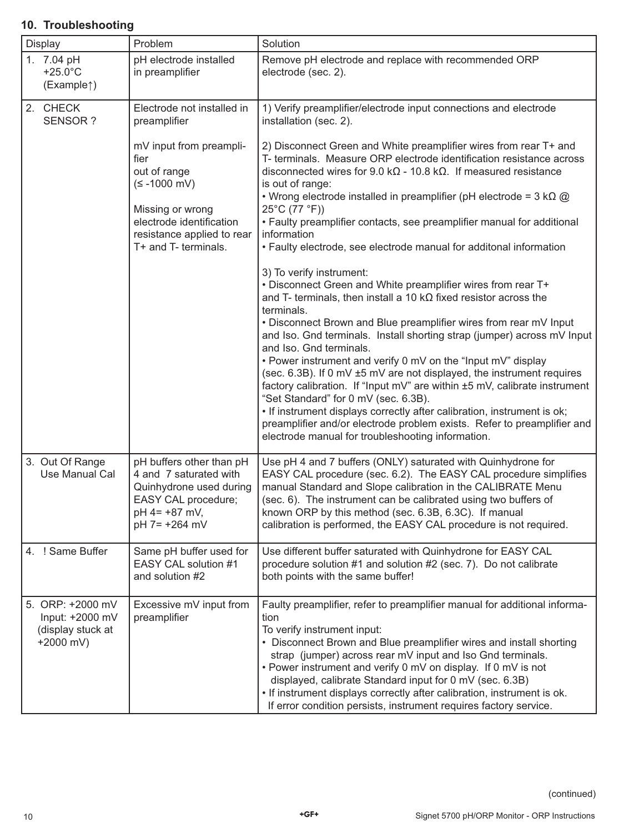#### 1. 7.04 pH +25.0°C (Example↑) pH electrode installed in preamplifier Remove pH electrode and replace with recommended ORP electrode (sec. 2). 2. CHECK SENSOR ? Electrode not installed in preamplifier mV input from preamplifier out of range (≤ -1000 mV) Missing or wrong electrode identification resistance applied to rear T+ and T- terminals. 1) Verify preamplifier/electrode input connections and electrode installation (sec. 2). 2) Disconnect Green and White preamplifier wires from rear T+ and T- terminals. Measure ORP electrode identification resistance across disconnected wires for 9.0 kΩ - 10.8 kΩ. If measured resistance is out of range: • Wrong electrode installed in preamplifier (pH electrode =  $3 k\Omega$  @ 25°C (77 °F)) • Faulty preamplifier contacts, see preamplifier manual for additional information • Faulty electrode, see electrode manual for additonal information 3) To verify instrument: • Disconnect Green and White preamplifier wires from rear T+ and T- terminals, then install a 10 kΩ fixed resistor across the terminals. • Disconnect Brown and Blue preamplifier wires from rear mV Input and Iso. Gnd terminals. Install shorting strap (jumper) across mV Input and Iso. Gnd terminals. • Power instrument and verify 0 mV on the "Input mV" display (sec. 6.3B). If 0 mV ±5 mV are not displayed, the instrument requires factory calibration. If "Input mV" are within ±5 mV, calibrate instrument "Set Standard" for 0 mV (sec. 6.3B). • If instrument displays correctly after calibration, instrument is ok; preamplifier and/or electrode problem exists. Refer to preamplifier and electrode manual for troubleshooting information. 3. Out Of Range Use Manual Cal pH buffers other than pH 4 and 7 saturated with Quinhydrone used during EASY CAL procedure; pH 4= +87 mV, pH 7= +264 mV Use pH 4 and 7 buffers (ONLY) saturated with Quinhydrone for EASY CAL procedure (sec. 6.2). The EASY CAL procedure simplifies manual Standard and Slope calibration in the CALIBRATE Menu (sec. 6). The instrument can be calibrated using two buffers of known ORP by this method (sec. 6.3B, 6.3C). If manual calibration is performed, the EASY CAL procedure is not required. 4. ! Same Buffer | Same pH buffer used for EASY CAL solution #1 and solution #2 Use different buffer saturated with Quinhydrone for EASY CAL procedure solution #1 and solution #2 (sec. 7). Do not calibrate both points with the same buffer! 5. ORP: +2000 mV Input: +2000 mV (display stuck at +2000 mV) Excessive mV input from preamplifier Faulty preamplifier, refer to preamplifier manual for additional information To verify instrument input: • Disconnect Brown and Blue preamplifier wires and install shorting strap (jumper) across rear mV input and Iso Gnd terminals. • Power instrument and verify 0 mV on display. If 0 mV is not displayed, calibrate Standard input for 0 mV (sec. 6.3B) • If instrument displays correctly after calibration, instrument is ok. If error condition persists, instrument requires factory service.

## **10. Troubleshooting**

Display | Problem | Solution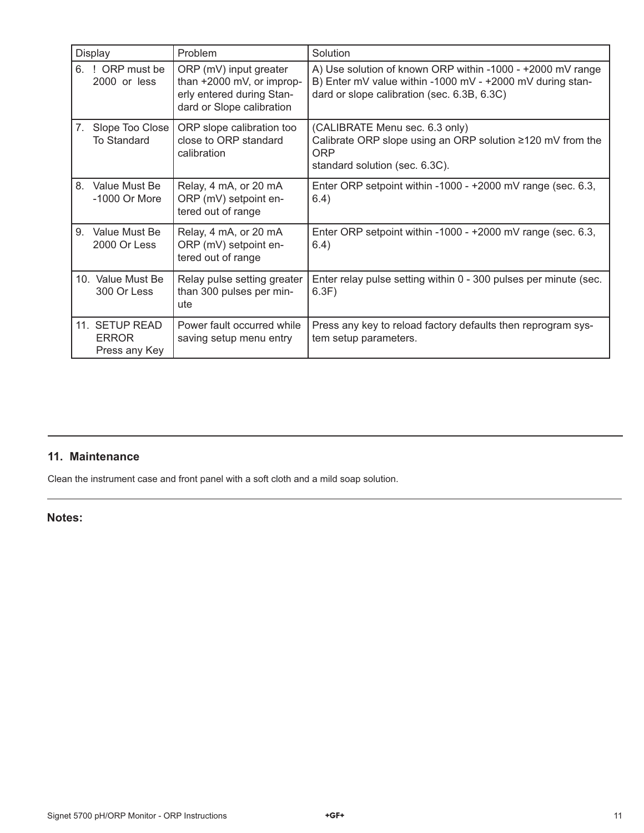|    | <b>Display</b>                                  | Problem                                                                                                       | Solution                                                                                                                                                               |
|----|-------------------------------------------------|---------------------------------------------------------------------------------------------------------------|------------------------------------------------------------------------------------------------------------------------------------------------------------------------|
|    | 6. ! ORP must be<br>2000 or less                | ORP (mV) input greater<br>than +2000 mV, or improp-<br>erly entered during Stan-<br>dard or Slope calibration | A) Use solution of known ORP within -1000 - +2000 mV range<br>B) Enter mV value within -1000 mV - +2000 mV during stan-<br>dard or slope calibration (sec. 6.3B, 6.3C) |
| 7. | Slope Too Close<br><b>To Standard</b>           | ORP slope calibration too<br>close to ORP standard<br>calibration                                             | (CALIBRATE Menu sec. 6.3 only)<br>Calibrate ORP slope using an ORP solution ≥120 mV from the<br>ORP<br>standard solution (sec. 6.3C).                                  |
| 8. | Value Must Be<br>-1000 Or More                  | Relay, 4 mA, or 20 mA<br>ORP (mV) setpoint en-<br>tered out of range                                          | Enter ORP setpoint within -1000 - +2000 mV range (sec. 6.3,<br>6.4)                                                                                                    |
| 9. | Value Must Be<br>2000 Or Less                   | Relay, 4 mA, or 20 mA<br>ORP (mV) setpoint en-<br>tered out of range                                          | Enter ORP setpoint within -1000 - +2000 mV range (sec. 6.3,<br>6.4)                                                                                                    |
|    | 10. Value Must Be<br>300 Or Less                | Relay pulse setting greater<br>than 300 pulses per min-<br>ute                                                | Enter relay pulse setting within 0 - 300 pulses per minute (sec.<br>6.3F)                                                                                              |
|    | 11. SETUP READ<br><b>ERROR</b><br>Press any Key | Power fault occurred while<br>saving setup menu entry                                                         | Press any key to reload factory defaults then reprogram sys-<br>tem setup parameters.                                                                                  |

## **11. Maintenance**

Clean the instrument case and front panel with a soft cloth and a mild soap solution.

## **Notes:**